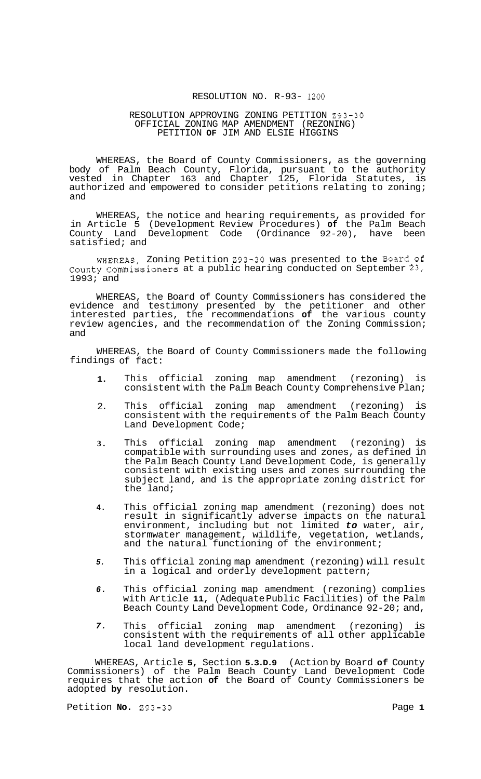### RESOLUTION NO. R-93- 1200

#### RESOLUTION APPROVING ZONING PETITION 293-30 OFFICIAL ZONING MAP AMENDMENT (REZONING) PETITION **OF** JIM AND ELSIE HIGGINS

WHEREAS, the Board of County Commissioners, as the governing body of Palm Beach County, Florida, pursuant to the authority vested in Chapter 163 and Chapter 125, Florida Statutes, is authorized and empowered to consider petitions relating to zoning; and

WHEREAS, the notice and hearing requirements, as provided for in Article 5 (Development Review Procedures) **of** the Palm Beach County Land Development Code (Ordinance 92-20), have been satisfied; and

WHEREAS, Zoning Petition 293-30 was presented to the Board **of**  County Commissioners at a public hearing conducted on September 23, 1993; and

WHEREAS, the Board of County Commissioners has considered the evidence and testimony presented by the petitioner and other interested parties, the recommendations **of** the various county review agencies, and the recommendation of the Zoning Commission; and

WHEREAS, the Board of County Commissioners made the following findings of fact:

- **1.**  This official zoning map amendment (rezoning) is consistent with the Palm Beach County Comprehensive Plan;
- 2. This official zoning map amendment (rezoning) is consistent with the requirements of the Palm Beach County Land Development Code;
- **3.**  This official zoning map amendment (rezoning) is compatible with surrounding uses and zones, as defined in the Palm Beach County Land Development Code, is generally consistent with existing uses and zones surrounding the subject land, and is the appropriate zoning district for the land;
- **4.**  This official zoning map amendment (rezoning) does not result in significantly adverse impacts on the natural environment, including but not limited *to* water, air, stormwater management, wildlife, vegetation, wetlands, and the natural functioning of the environment;
- *5.*  This official zoning map amendment (rezoning) will result in a logical and orderly development pattern;
- *6.*  This official zoning map amendment (rezoning) complies with Article **11,** (Adequate Public Facilities) of the Palm Beach County Land Development Code, Ordinance 92-20; and,
- *7.*  This official zoning map amendment (rezoning) is consistent with the requirements of all other applicable local land development regulations.

WHEREAS, Article **5,** Section **5.3.D.9** (Action by Board **of** County Commissioners) of the Palm Beach County Land Development Code requires that the action **of** the Board of County Commissioners be adopted **by** resolution.

Petition **No.** 293-30 **Page 1 Page 1**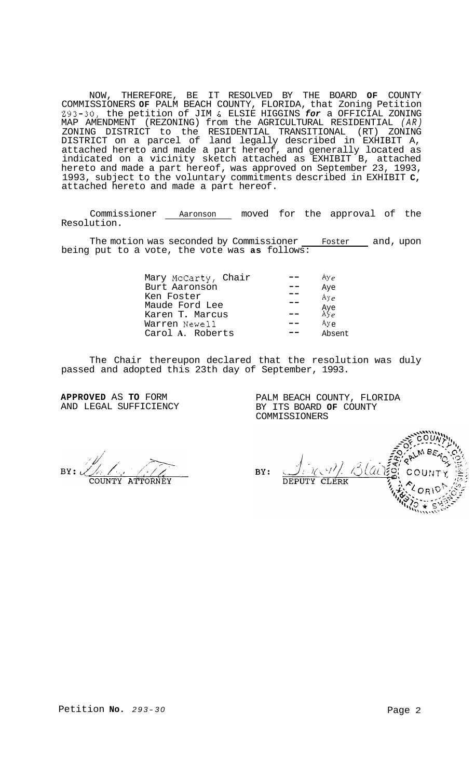NOW, THEREFORE, BE IT RESOLVED BY THE BOARD **OF** COUNTY COMMISSIONERS **OF** PALM BEACH COUNTY, FLORIDA, that Zoning Petition **293-30,** the petition of JIM & ELSIE HIGGINS *for* a OFFICIAL ZONING MAP AMENDMENT (REZONING) from the AGRICULTURAL RESIDENTIAL *(AR)*  ZONING DISTRICT to the RESIDENTIAL TRANSITIONAL (RT) ZONING DISTRICT on a parcel of land legally described in EXHIBIT A, attached hereto and made a part hereof, and generally located as indicated on a vicinity sketch attached as EXHIBIT B, attached hereto and made a part hereof, was approved on September 23, 1993, 1993, subject to the voluntary commitments described in EXHIBIT **C,**  attached hereto and made a part hereof.

Commissioner Aaronson moved for the approval of the Resolution.

The motion was seconded by Commissioner \_\_\_\_ Foster \_\_\_\_ and, upon being put to a vote, the vote was **as** follows:

| Mary McCarty, Chair | $AY_{\rho}$     |
|---------------------|-----------------|
| Burt Aaronson       | Aye             |
| Ken Foster          | Ay <sub>e</sub> |
| Maude Ford Lee      | Aye<br>Ay       |
| Karen T. Marcus     |                 |
| Warren Newell       | $Ay \sim$       |
| Carol A. Roberts    | Ahsent          |

The Chair thereupon declared that the resolution was duly passed and adopted this 23th day of September, 1993.

**APPROVED** AS **TO** FORM AND LEGAL SUFFICIENCY PALM BEACH COUNTY, FLORIDA BY ITS BOARD **OF** COUNTY COMMISSIONERS

 $BY:$ ATTORNE COUNTY

Ĭμ BY: **DEPUTY CLERK**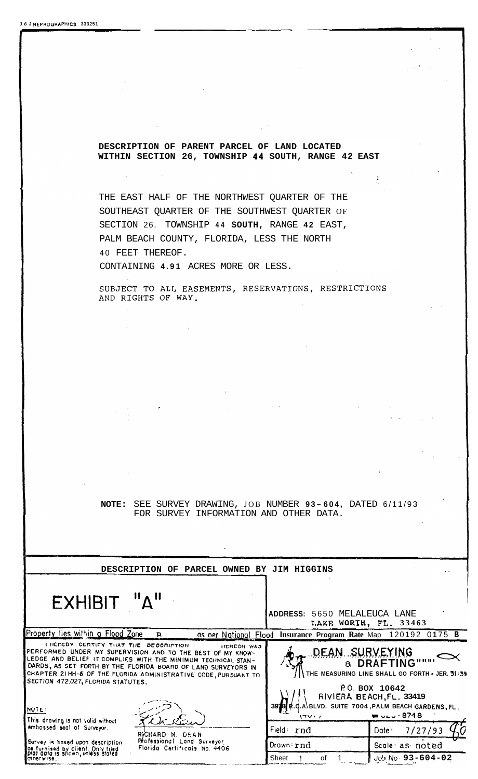**I** 

## **DESCRIPTION OF PARENT PARCEL OF LAND LOCATED WITHIN SECTION 26, TOWNSHIP 44 SOUTH, RANGE 42 EAST**

 $\mathcal{A}_\mathrm{c}$ 

 $\ddot{\cdot}$ 

THE EAST HALF OF THE NORTHWEST QUARTER OF THE SOUTHEAST QUARTER OF THE SOUTHWEST QUARTER OF SECTION 26, TOWNSHIP **44 SOUTH,** RANGE **42** EAST, PALM BEACH COUNTY, FLORIDA, LESS THE NORTH 40 FEET THEREOF.

CONTAINING **4.91** ACRES MORE OR LESS.

SUBJECT TO ALL EASEMENTS, RESERVATIONS, RESTRICTIONS AND RIGHTS OF WAY.

**NOTE:** SEE SURVEY DRAWING, JOB NUMBER **9 3 - 604,** DATED 6/11/93 FOR SURVEY INFORMATION AND OTHER DATA.

|                                                                                                                                  | DESCRIPTION OF PARCEL OWNED BY JIM HIGGINS                                                                                                                                                                                                                                    |                                                                | $\mathbf{z}$ .                                                                                                                                                                                    |
|----------------------------------------------------------------------------------------------------------------------------------|-------------------------------------------------------------------------------------------------------------------------------------------------------------------------------------------------------------------------------------------------------------------------------|----------------------------------------------------------------|---------------------------------------------------------------------------------------------------------------------------------------------------------------------------------------------------|
| EXHIBIT "A"                                                                                                                      |                                                                                                                                                                                                                                                                               | ADDRESS: 5650 MELALEUCA LANE                                   | LAKE WORTH, $FL. 33463$                                                                                                                                                                           |
| Property lies within a Flood Zone                                                                                                | $\mathbf{R}$                                                                                                                                                                                                                                                                  | as per National Flood Insurance Program Rate Map 120192 0175 B |                                                                                                                                                                                                   |
| I HEREBY CERTIFY THAT THE DECORIPTION<br>SECTION 472.027, FLORIDA STATUTES.<br><b>NOTE:</b><br>This drawing is not valid without | HEREON WAS<br>PERFORMED UNDER MY SUPERVISION AND TO THE BEST OF MY KNOW-<br>LEDGE AND BELIEF IT COMPLIES WITH THE MINIMUM TECHNICAL STAN-<br>DARDS, AS SET FORTH BY THE FLORIDA BOARD OF LAND SURVEYORS IN<br>CHAPTER 21 HH-6 OF THE FLORIDA ADMINISTRATIVE CODE, PURSUANT TO | ハマショッ                                                          | DEAN SURVEYING<br>8 DRAFTING"""<br>THE MEASURING LINE SHALL GO FORTH - JER. 31:39<br>P.O. BOX 10642<br>RIVIERA BEACH, FL. 33419<br>C.A.BLVD. SUITE 7004, PALM BEACH GARDENS, FL.<br>$-0.000$ 0740 |
| embossed seal of Surveyor.                                                                                                       | RICHARD N. DEAN                                                                                                                                                                                                                                                               | Field: rnd                                                     | 7/27/93<br>Date:                                                                                                                                                                                  |
| Survey is based upon description                                                                                                 | Professional Land Surveyor<br>Florida Certificate No. 4406                                                                                                                                                                                                                    | Drawn rnd                                                      | Scole as noted                                                                                                                                                                                    |
| as furnised by client. Only filed<br>plat agta is shown, unless stated<br>UTherwise                                              |                                                                                                                                                                                                                                                                               | Sheet<br>οt                                                    | $Job No: 93-604-02$                                                                                                                                                                               |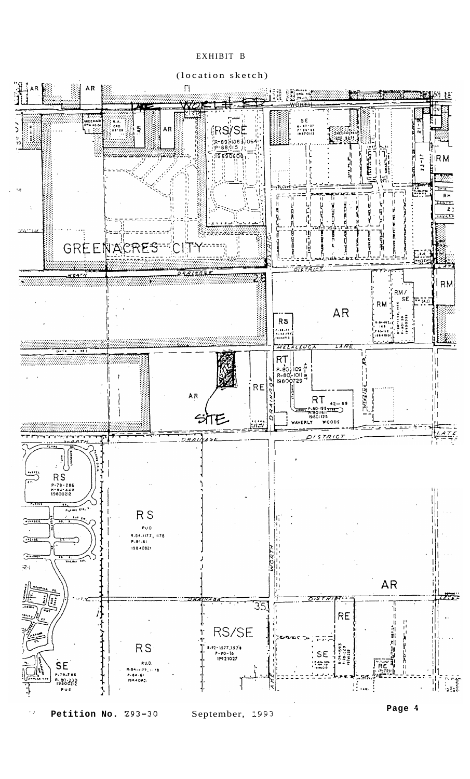### EXHIBIT B

#### (location sketch)